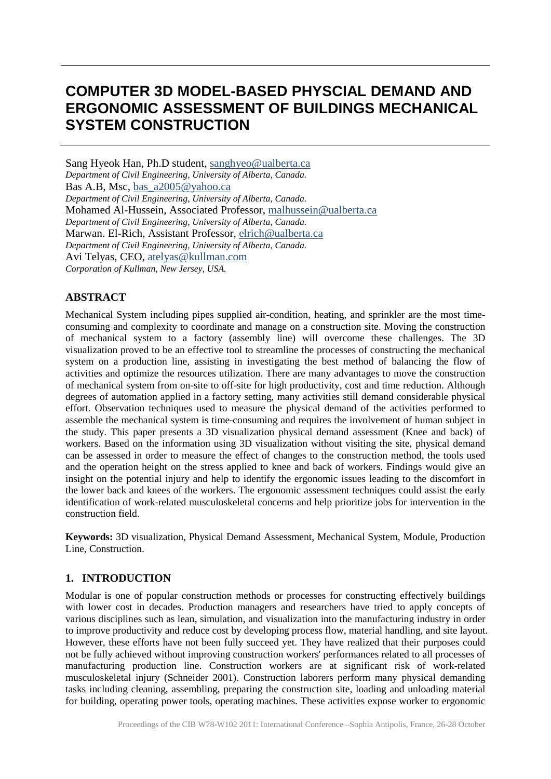# **COMPUTER 3D MODEL-BASED PHYSCIAL DEMAND AND ERGONOMIC ASSESSMENT OF BUILDINGS MECHANICAL SYSTEM CONSTRUCTION**

Sang Hyeok Han, Ph.D student, [sanghyeo@ualberta.ca](mailto:Alain.Zarli@cstb.fr) *Department of Civil Engineering, University of Alberta, Canada.* Bas A.B, Msc, [bas\\_a2005@yahoo.ca](mailto:Alain.Zarli@cstb.fr) *Department of Civil Engineering, University of Alberta, Canada.* Mohamed Al-Hussein, Associated Professor, [malhussein@ualberta.ca](mailto:Alain.Zarli@cstb.fr) *Department of Civil Engineering, University of Alberta, Canada.* Marwan. El-Rich, Assistant Professor, [elrich@ualberta.ca](mailto:Alain.Zarli@cstb.fr) *Department of Civil Engineering, University of Alberta, Canada.* Avi Telyas, CEO, [atelyas@kullman.com](mailto:Eric.Pascual@cstb.fr) *Corporation of Kullman, New Jersey, USA.*

# **ABSTRACT**

Mechanical System including pipes supplied air-condition, heating, and sprinkler are the most timeconsuming and complexity to coordinate and manage on a construction site. Moving the construction of mechanical system to a factory (assembly line) will overcome these challenges. The 3D visualization proved to be an effective tool to streamline the processes of constructing the mechanical system on a production line, assisting in investigating the best method of balancing the flow of activities and optimize the resources utilization. There are many advantages to move the construction of mechanical system from on-site to off-site for high productivity, cost and time reduction. Although degrees of automation applied in a factory setting, many activities still demand considerable physical effort. Observation techniques used to measure the physical demand of the activities performed to assemble the mechanical system is time-consuming and requires the involvement of human subject in the study. This paper presents a 3D visualization physical demand assessment (Knee and back) of workers. Based on the information using 3D visualization without visiting the site, physical demand can be assessed in order to measure the effect of changes to the construction method, the tools used and the operation height on the stress applied to knee and back of workers. Findings would give an insight on the potential injury and help to identify the ergonomic issues leading to the discomfort in the lower back and knees of the workers. The ergonomic assessment techniques could assist the early identification of work-related musculoskeletal concerns and help prioritize jobs for intervention in the construction field.

**Keywords:** 3D visualization, Physical Demand Assessment, Mechanical System, Module, Production Line, Construction.

# **1. INTRODUCTION**

Modular is one of popular construction methods or processes for constructing effectively buildings with lower cost in decades. Production managers and researchers have tried to apply concepts of various disciplines such as lean, simulation, and visualization into the manufacturing industry in order to improve productivity and reduce cost by developing process flow, material handling, and site layout. However, these efforts have not been fully succeed yet. They have realized that their purposes could not be fully achieved without improving construction workers' performances related to all processes of manufacturing production line. Construction workers are at significant risk of work-related musculoskeletal injury (Schneider 2001). Construction laborers perform many physical demanding tasks including cleaning, assembling, preparing the construction site, loading and unloading material for building, operating power tools, operating machines. These activities expose worker to ergonomic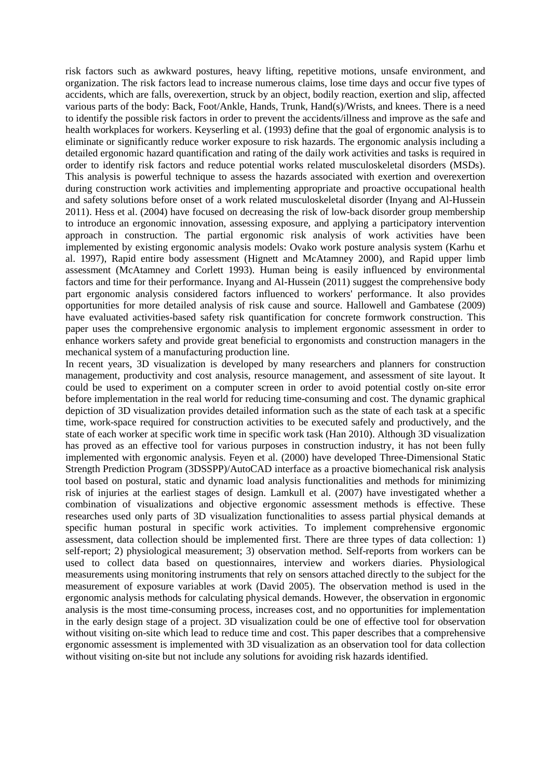risk factors such as awkward postures, heavy lifting, repetitive motions, unsafe environment, and organization. The risk factors lead to increase numerous claims, lose time days and occur five types of accidents, which are falls, overexertion, struck by an object, bodily reaction, exertion and slip, affected various parts of the body: Back, Foot/Ankle, Hands, Trunk, Hand(s)/Wrists, and knees. There is a need to identify the possible risk factors in order to prevent the accidents/illness and improve as the safe and health workplaces for workers. Keyserling et al. (1993) define that the goal of ergonomic analysis is to eliminate or significantly reduce worker exposure to risk hazards. The ergonomic analysis including a detailed ergonomic hazard quantification and rating of the daily work activities and tasks is required in order to identify risk factors and reduce potential works related musculoskeletal disorders (MSDs). This analysis is powerful technique to assess the hazards associated with exertion and overexertion during construction work activities and implementing appropriate and proactive occupational health and safety solutions before onset of a work related musculoskeletal disorder (Inyang and Al-Hussein 2011). Hess et al. (2004) have focused on decreasing the risk of low-back disorder group membership to introduce an ergonomic innovation, assessing exposure, and applying a participatory intervention approach in construction. The partial ergonomic risk analysis of work activities have been implemented by existing ergonomic analysis models: Ovako work posture analysis system (Karhu et al. 1997), Rapid entire body assessment (Hignett and McAtamney 2000), and Rapid upper limb assessment (McAtamney and Corlett 1993). Human being is easily influenced by environmental factors and time for their performance. Inyang and Al-Hussein (2011) suggest the comprehensive body part ergonomic analysis considered factors influenced to workers' performance. It also provides opportunities for more detailed analysis of risk cause and source. Hallowell and Gambatese (2009) have evaluated activities-based safety risk quantification for concrete formwork construction. This paper uses the comprehensive ergonomic analysis to implement ergonomic assessment in order to enhance workers safety and provide great beneficial to ergonomists and construction managers in the mechanical system of a manufacturing production line.

In recent years, 3D visualization is developed by many researchers and planners for construction management, productivity and cost analysis, resource management, and assessment of site layout. It could be used to experiment on a computer screen in order to avoid potential costly on-site error before implementation in the real world for reducing time-consuming and cost. The dynamic graphical depiction of 3D visualization provides detailed information such as the state of each task at a specific time, work-space required for construction activities to be executed safely and productively, and the state of each worker at specific work time in specific work task (Han 2010). Although 3D visualization has proved as an effective tool for various purposes in construction industry, it has not been fully implemented with ergonomic analysis. Feyen et al. (2000) have developed Three-Dimensional Static Strength Prediction Program (3DSSPP)/AutoCAD interface as a proactive biomechanical risk analysis tool based on postural, static and dynamic load analysis functionalities and methods for minimizing risk of injuries at the earliest stages of design. Lamkull et al. (2007) have investigated whether a combination of visualizations and objective ergonomic assessment methods is effective. These researches used only parts of 3D visualization functionalities to assess partial physical demands at specific human postural in specific work activities. To implement comprehensive ergonomic assessment, data collection should be implemented first. There are three types of data collection: 1) self-report; 2) physiological measurement; 3) observation method. Self-reports from workers can be used to collect data based on questionnaires, interview and workers diaries. Physiological measurements using monitoring instruments that rely on sensors attached directly to the subject for the measurement of exposure variables at work (David 2005). The observation method is used in the ergonomic analysis methods for calculating physical demands. However, the observation in ergonomic analysis is the most time-consuming process, increases cost, and no opportunities for implementation in the early design stage of a project. 3D visualization could be one of effective tool for observation without visiting on-site which lead to reduce time and cost. This paper describes that a comprehensive ergonomic assessment is implemented with 3D visualization as an observation tool for data collection without visiting on-site but not include any solutions for avoiding risk hazards identified.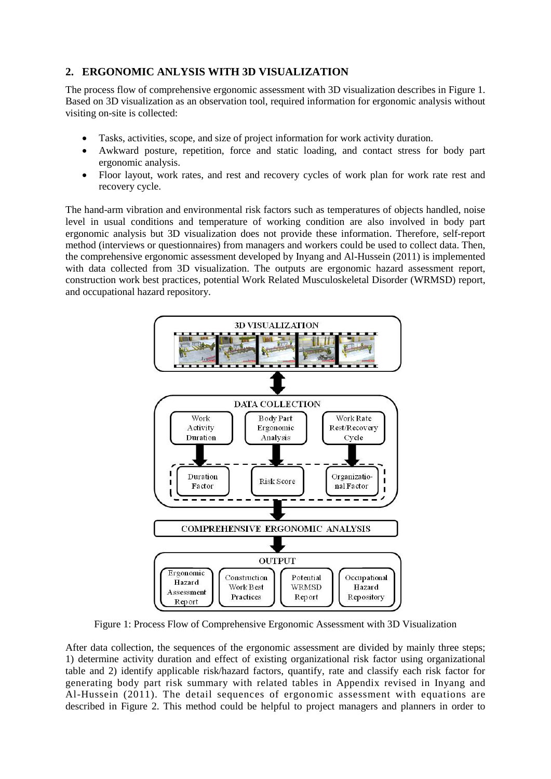# **2. ERGONOMIC ANLYSIS WITH 3D VISUALIZATION**

The process flow of comprehensive ergonomic assessment with 3D visualization describes in Figure 1. Based on 3D visualization as an observation tool, required information for ergonomic analysis without visiting on-site is collected:

- Tasks, activities, scope, and size of project information for work activity duration.
- Awkward posture, repetition, force and static loading, and contact stress for body part ergonomic analysis.
- Floor layout, work rates, and rest and recovery cycles of work plan for work rate rest and recovery cycle.

The hand-arm vibration and environmental risk factors such as temperatures of objects handled, noise level in usual conditions and temperature of working condition are also involved in body part ergonomic analysis but 3D visualization does not provide these information. Therefore, self-report method (interviews or questionnaires) from managers and workers could be used to collect data. Then, the comprehensive ergonomic assessment developed by Inyang and Al-Hussein (2011) is implemented with data collected from 3D visualization. The outputs are ergonomic hazard assessment report, construction work best practices, potential Work Related Musculoskeletal Disorder (WRMSD) report, and occupational hazard repository.



Figure 1: Process Flow of Comprehensive Ergonomic Assessment with 3D Visualization

After data collection, the sequences of the ergonomic assessment are divided by mainly three steps; 1) determine activity duration and effect of existing organizational risk factor using organizational table and 2) identify applicable risk/hazard factors, quantify, rate and classify each risk factor for generating body part risk summary with related tables in Appendix revised in Inyang and Al-Hussein (2011). The detail sequences of ergonomic assessment with equations are described in Figure 2. This method could be helpful to project managers and planners in order to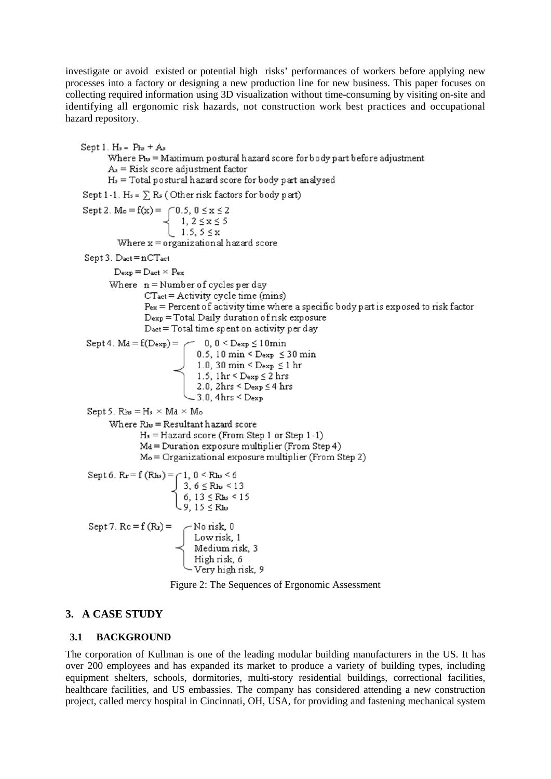investigate or avoid existed or potential high risks' performances of workers before applying new processes into a factory or designing a new production line for new business. This paper focuses on collecting required information using 3D visualization without time-consuming by visiting on-site and identifying all ergonomic risk hazards, not construction work best practices and occupational hazard repository.

Sept 1.  $H_s = Phs + As$ Where  $P_{hs}$  = Maximum postural hazard score for body part before adjustment  $As = Risk score adjustment factor$  $H_s = \text{Total postural hazard score for body part analyzed}$ Sept 1-1. Hs =  $\sum$  Rs (Other risk factors for body part) Sept 2. M<sub>o</sub> = f(x) =  $\begin{cases} 0.5, 0 \le x \le 2 \\ 1, 2 \le x \le 5 \\ 1.5, 5 \le x \end{cases}$ Where  $x =$  organizational hazard score Sept 3. Dact = nCTact  $D_{\text{exp}} = D_{\text{act}} \times P_{\text{ex}}$ Where  $n =$  Number of cycles per day CTact = Activity cycle time (mins)  $P_{ex}$  = Percent of activity time where a specific body part is exposed to risk factor Dexp = Total Daily duration of risk exposure Dact = Total time spent on activity per day = 0, 0 < Dexp  $\leq$  10 min<br>0.5, 10 min < Dexp  $\leq$  30 min<br>1.0, 30 min < Dexp  $\leq$  30 min<br>1.5, 1hr < Dexp  $\leq$  2 hr<br>2.0, 2hrs < Dexp  $\leq$  4 hrs Sept 4.  $Md = f(Dexp) =$  $-3.0.4$ hrs < Dexp Sept 5.  $R_{bs} = H_s \times M_d \times M_o$ Where  $R_{bs}$  = Resultant hazard score  $H_s =$ Hazard score (From Step 1 or Step 1-1) Md = Duration exposure multiplier (From Step 4)  $Mo = Organizational$  exposure multiplier (From Step 2) Sept 6.  $R_x = f(R_{hs}) = \bigcap 1, 0 \le R_{hs} \le 6$  $\begin{cases}\n3, 6 \leq \text{R}_{\text{hs}} < 13 \\
6, 13 \leq \text{R}_{\text{hs}} < 15 \\
9, 15 \leq \text{R}_{\text{hs}}\n\end{cases}$ Sept 7.  $Rc = f(Rr) =$ <br>  $\begin{cases}\n\text{No risk, 0} \\
\text{Low risk, 1} \\
\text{ Medium risk, 3} \\
\text{High risk, 6} \\
\text{Very high risk, 6}\n\end{cases}$ - Very high risk, 9

Figure 2: The Sequences of Ergonomic Assessment

# **3. A CASE STUDY**

#### **3.1 BACKGROUND**

The corporation of Kullman is one of the leading modular building manufacturers in the US. It has over 200 employees and has expanded its market to produce a variety of building types, including equipment shelters, schools, dormitories, multi-story residential buildings, correctional facilities, healthcare facilities, and US embassies. The company has considered attending a new construction project, called mercy hospital in Cincinnati, OH, USA, for providing and fastening mechanical system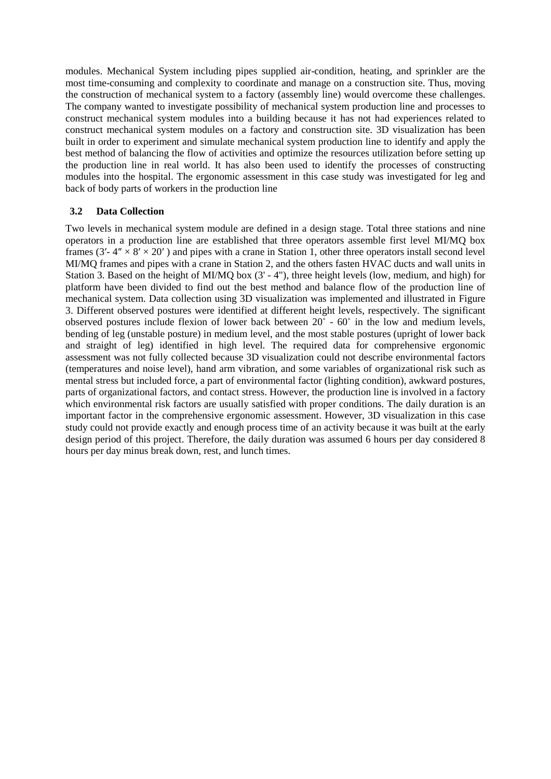modules. Mechanical System including pipes supplied air-condition, heating, and sprinkler are the most time-consuming and complexity to coordinate and manage on a construction site. Thus, moving the construction of mechanical system to a factory (assembly line) would overcome these challenges. The company wanted to investigate possibility of mechanical system production line and processes to construct mechanical system modules into a building because it has not had experiences related to construct mechanical system modules on a factory and construction site. 3D visualization has been built in order to experiment and simulate mechanical system production line to identify and apply the best method of balancing the flow of activities and optimize the resources utilization before setting up the production line in real world. It has also been used to identify the processes of constructing modules into the hospital. The ergonomic assessment in this case study was investigated for leg and back of body parts of workers in the production line

### **3.2 Data Collection**

Two levels in mechanical system module are defined in a design stage. Total three stations and nine operators in a production line are established that three operators assemble first level MI/MQ box frames (3'-  $4'' \times 8' \times 20'$ ) and pipes with a crane in Station 1, other three operators install second level MI/MQ frames and pipes with a crane in Station 2, and the others fasten HVAC ducts and wall units in Station 3. Based on the height of MI/MQ box (3' - 4"), three height levels (low, medium, and high) for platform have been divided to find out the best method and balance flow of the production line of mechanical system. Data collection using 3D visualization was implemented and illustrated in Figure 3. Different observed postures were identified at different height levels, respectively. The significant observed postures include flexion of lower back between 20˚ - 60˚ in the low and medium levels, bending of leg (unstable posture) in medium level, and the most stable postures (upright of lower back and straight of leg) identified in high level. The required data for comprehensive ergonomic assessment was not fully collected because 3D visualization could not describe environmental factors (temperatures and noise level), hand arm vibration, and some variables of organizational risk such as mental stress but included force, a part of environmental factor (lighting condition), awkward postures, parts of organizational factors, and contact stress. However, the production line is involved in a factory which environmental risk factors are usually satisfied with proper conditions. The daily duration is an important factor in the comprehensive ergonomic assessment. However, 3D visualization in this case study could not provide exactly and enough process time of an activity because it was built at the early design period of this project. Therefore, the daily duration was assumed 6 hours per day considered 8 hours per day minus break down, rest, and lunch times.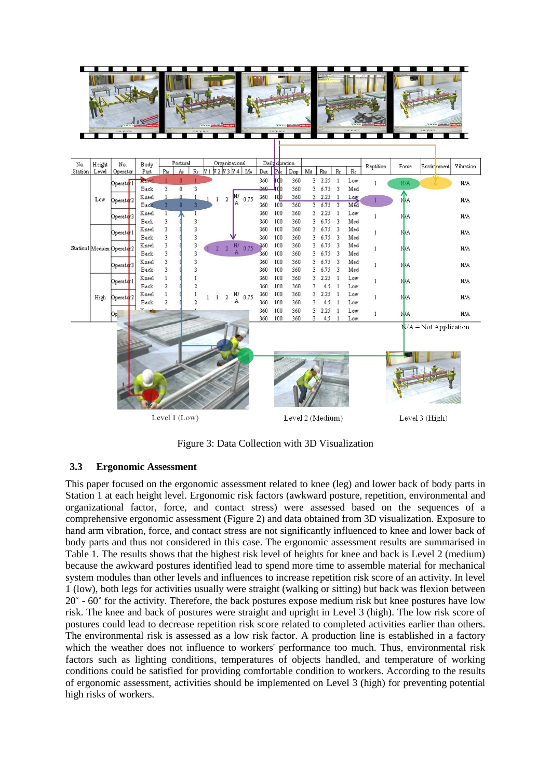

Figure 3: Data Collection with 3D Visualization

#### **3.3 Ergonomic Assessment**

This paper focused on the ergonomic assessment related to knee (leg) and lower back of body parts in Station 1 at each height level. Ergonomic risk factors (awkward posture, repetition, environmental and organizational factor, force, and contact stress) were assessed based on the sequences of a comprehensive ergonomic assessment (Figure 2) and data obtained from 3D visualization. Exposure to hand arm vibration, force, and contact stress are not significantly influenced to knee and lower back of body parts and thus not considered in this case. The ergonomic assessment results are summarised in Table 1. The results shows that the highest risk level of heights for knee and back is Level 2 (medium) because the awkward postures identified lead to spend more time to assemble material for mechanical system modules than other levels and influences to increase repetition risk score of an activity. In level 1 (low), both legs for activities usually were straight (walking or sitting) but back was flexion between 20˚ - 60˚ for the activity. Therefore, the back postures expose medium risk but knee postures have low risk. The knee and back of postures were straight and upright in Level 3 (high). The low risk score of postures could lead to decrease repetition risk score related to completed activities earlier than others. The environmental risk is assessed as a low risk factor. A production line is established in a factory which the weather does not influence to workers' performance too much. Thus, environmental risk factors such as lighting conditions, temperatures of objects handled, and temperature of working conditions could be satisfied for providing comfortable condition to workers. According to the results of ergonomic assessment, activities should be implemented on Level 3 (high) for preventing potential high risks of workers.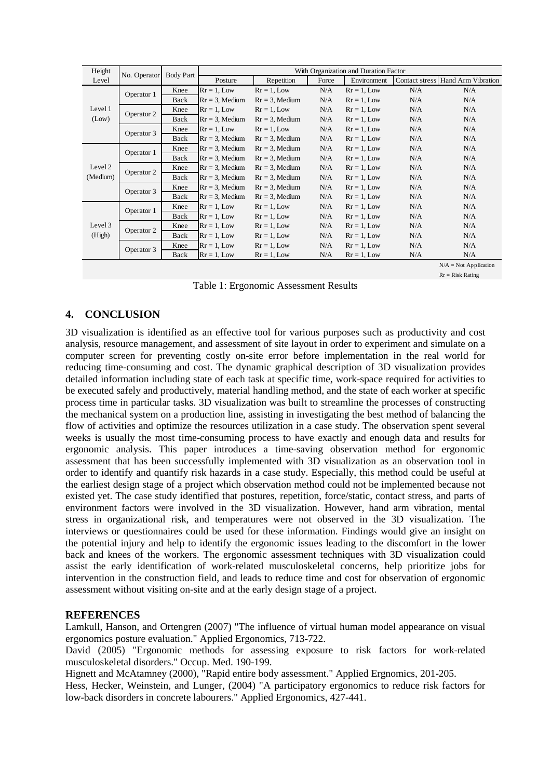| Height              | No. Operator | <b>Body Part</b> |                   |                   |       | With Organization and Duration Factor |     |                                   |
|---------------------|--------------|------------------|-------------------|-------------------|-------|---------------------------------------|-----|-----------------------------------|
| Level               |              |                  | Posture           | Repetition        | Force | Environment                           |     | Contact stress Hand Arm Vibration |
|                     | Operator 1   | Knee             | $Rr = 1$ , Low    | $Rr = 1$ , Low    | N/A   | $Rr = 1$ , Low                        | N/A | N/A                               |
|                     |              | Back             | $Rr = 3$ , Medium | $Rr = 3$ , Medium | N/A   | $Rr = 1$ , Low                        | N/A | N/A                               |
| Level 1             | Operator 2   | Knee             | $Rr = 1$ , Low    | $Rr = 1$ , Low    | N/A   | $Rr = 1$ , Low                        | N/A | N/A                               |
| (Low)               |              | Back             | $Rr = 3$ , Medium | $Rr = 3$ , Medium | N/A   | $Rr = 1$ , Low                        | N/A | N/A                               |
|                     | Operator 3   | Knee             | $Rr = 1$ , Low    | $Rr = 1$ , Low    | N/A   | $Rr = 1$ , Low                        | N/A | N/A                               |
|                     |              | Back             | $Rr = 3$ , Medium | $Rr = 3$ , Medium | N/A   | $Rr = 1$ , Low                        | N/A | N/A                               |
|                     | Operator 1   | Knee             | $Rr = 3$ , Medium | $Rr = 3$ , Medium | N/A   | $Rr = 1$ , Low                        | N/A | N/A                               |
| Level 2<br>(Medium) |              | Back             | $Rr = 3$ , Medium | $Rr = 3$ , Medium | N/A   | $Rr = 1$ , Low                        | N/A | N/A                               |
|                     | Operator 2   | Knee             | $Rr = 3$ , Medium | $Rr = 3$ , Medium | N/A   | $Rr = 1$ , Low                        | N/A | N/A                               |
|                     |              | Back             | $Rr = 3$ , Medium | $Rr = 3$ , Medium | N/A   | $Rr = 1$ , Low                        | N/A | N/A                               |
|                     | Operator 3   | Knee             | $Rr = 3$ , Medium | $Rr = 3$ , Medium | N/A   | $Rr = 1$ , Low                        | N/A | N/A                               |
|                     |              | Back             | $Rr = 3$ , Medium | $Rr = 3$ , Medium | N/A   | $Rr = 1$ , Low                        | N/A | N/A                               |
| Level 3<br>(High)   | Operator 1   | Knee             | $Rr = 1$ , Low    | $Rr = 1$ , Low    | N/A   | $Rr = 1$ , Low                        | N/A | N/A                               |
|                     |              | Back             | $Rr = 1$ , Low    | $Rr = 1$ , Low    | N/A   | $Rr = 1$ , Low                        | N/A | N/A                               |
|                     | Operator 2   | Knee             | $Rr = 1$ , Low    | $Rr = 1$ , Low    | N/A   | $Rr = 1$ , Low                        | N/A | N/A                               |
|                     |              | Back             | $Rr = 1$ , Low    | $Rr = 1$ , Low    | N/A   | $Rr = 1$ , Low                        | N/A | N/A                               |
|                     | Operator 3   | Knee             | $Rr = 1$ , Low    | $Rr = 1$ , Low    | N/A   | $Rr = 1$ , Low                        | N/A | N/A                               |
|                     |              | Back             | $Rr = 1$ , Low    | $Rr = 1$ , Low    | N/A   | $Rr = 1$ , Low                        | N/A | N/A                               |
|                     |              |                  |                   |                   |       |                                       |     | $N/A = Not Application$           |

Rr = Risk Rating

Table 1: Ergonomic Assessment Results

### **4. CONCLUSION**

3D visualization is identified as an effective tool for various purposes such as productivity and cost analysis, resource management, and assessment of site layout in order to experiment and simulate on a computer screen for preventing costly on-site error before implementation in the real world for reducing time-consuming and cost. The dynamic graphical description of 3D visualization provides detailed information including state of each task at specific time, work-space required for activities to be executed safely and productively, material handling method, and the state of each worker at specific process time in particular tasks. 3D visualization was built to streamline the processes of constructing the mechanical system on a production line, assisting in investigating the best method of balancing the flow of activities and optimize the resources utilization in a case study. The observation spent several weeks is usually the most time-consuming process to have exactly and enough data and results for ergonomic analysis. This paper introduces a time-saving observation method for ergonomic assessment that has been successfully implemented with 3D visualization as an observation tool in order to identify and quantify risk hazards in a case study. Especially, this method could be useful at the earliest design stage of a project which observation method could not be implemented because not existed yet. The case study identified that postures, repetition, force/static, contact stress, and parts of environment factors were involved in the 3D visualization. However, hand arm vibration, mental stress in organizational risk, and temperatures were not observed in the 3D visualization. The interviews or questionnaires could be used for these information. Findings would give an insight on the potential injury and help to identify the ergonomic issues leading to the discomfort in the lower back and knees of the workers. The ergonomic assessment techniques with 3D visualization could assist the early identification of work-related musculoskeletal concerns, help prioritize jobs for intervention in the construction field, and leads to reduce time and cost for observation of ergonomic assessment without visiting on-site and at the early design stage of a project.

### **REFERENCES**

Lamkull, Hanson, and Ortengren (2007) "The influence of virtual human model appearance on visual ergonomics posture evaluation." Applied Ergonomics, 713-722.

David (2005) "Ergonomic methods for assessing exposure to risk factors for work-related musculoskeletal disorders." Occup. Med. 190-199.

Hignett and McAtamney (2000), "Rapid entire body assessment." Applied Ergnomics, 201-205.

Hess, Hecker, Weinstein, and Lunger, (2004) "A participatory ergonomics to reduce risk factors for low-back disorders in concrete labourers." Applied Ergonomics, 427-441.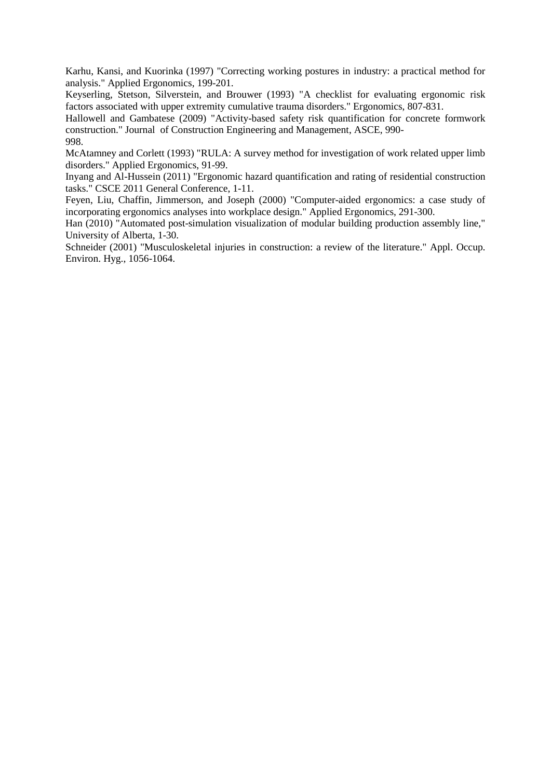Karhu, Kansi, and Kuorinka (1997) "Correcting working postures in industry: a practical method for analysis." Applied Ergonomics, 199-201.

Keyserling, Stetson, Silverstein, and Brouwer (1993) "A checklist for evaluating ergonomic risk factors associated with upper extremity cumulative trauma disorders." Ergonomics, 807-831.

Hallowell and Gambatese (2009) "Activity-based safety risk quantification for concrete formwork construction." Journal of Construction Engineering and Management, ASCE, 990- 998.

McAtamney and Corlett (1993) "RULA: A survey method for investigation of work related upper limb disorders." Applied Ergonomics, 91-99.

Inyang and Al-Hussein (2011) "Ergonomic hazard quantification and rating of residential construction tasks." CSCE 2011 General Conference, 1-11.

Feyen, Liu, Chaffin, Jimmerson, and Joseph (2000) "Computer-aided ergonomics: a case study of incorporating ergonomics analyses into workplace design." Applied Ergonomics, 291-300.

Han (2010) "Automated post-simulation visualization of modular building production assembly line," University of Alberta, 1-30.

Schneider (2001) "Musculoskeletal injuries in construction: a review of the literature." Appl. Occup. Environ. Hyg., 1056-1064.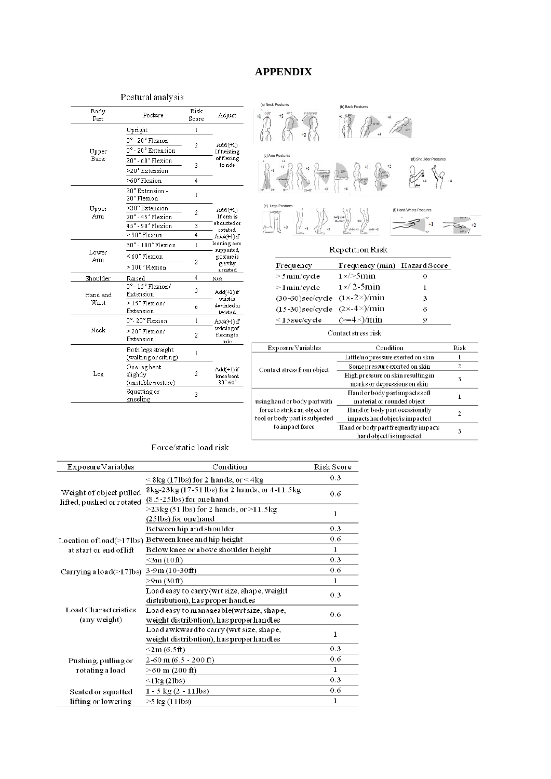# **APPENDIX**

#### Postural analysis

| Body<br>Part | Posture                                      | Risk<br>Score | Adjust                                 |
|--------------|----------------------------------------------|---------------|----------------------------------------|
|              | Upright                                      | 1             |                                        |
|              | 0°-20°Flexion                                | 2             |                                        |
| Upper        | 0° - 20° Extension                           |               | $Add(+1)$<br>If twisting               |
| Back         | 20°-60°Flexion                               | 3             | of flexing<br>to side                  |
|              | >20° Extension                               |               |                                        |
|              | >60°Flexion                                  | 4             |                                        |
|              | 20° Extension -<br>20° Flexion               | $\mathbf{1}$  |                                        |
| Upper<br>Arm | >20° Extension<br>20°-45° Flexion            | 2             | Add(+1)<br>If arm is                   |
|              | 45°-90°Flexion                               | 3             | abducted or<br>rotated                 |
|              | > 90° Flexion                                | 4             | $Add(+1)$ if                           |
|              | 60°-100°Flexion                              | 1             | leaning arm<br>supported,              |
| Lower<br>Arm | <60°Flexion                                  |               | posture is                             |
|              | >100°Flexion                                 | 2             | gravity<br>assisted                    |
| Shoulder     | Raised                                       | 4             | N/A                                    |
| Hand and     | 0°-15°Flexion/<br>Extension                  | 3             | Add(+2) if<br>wrist is                 |
| Wrist        | >15°Flexion/<br>Extension                    | ń             | deviated or<br>twisted                 |
|              | 0°-20° Flexion                               | 1             | Add(+1)if                              |
| Neck         | >20°Flexion/<br>Extension                    | 2             | twisting of<br>flexingto<br>side       |
|              | Both legs straight<br>(walking or sitting)   | $\mathbf{1}$  |                                        |
| Leg          | Onelegbent<br>slightly<br>(unstable posture) | 2             | Add(+1) if<br>knee bent<br>$30 - 60$ ° |
|              | Squatting or<br>kneeling                     | 3             |                                        |



#### Repetition Risk

| Frequency                                       | Frequency (min) Hazard Score |   |
|-------------------------------------------------|------------------------------|---|
| $>5$ min/cycle                                  | $1 \times$ > 5 min           | 0 |
| $>1$ min/cycle                                  | $1 \times 2$ -5 $\min$       | ı |
| $(30-60)$ sec/cycle $(1 \times -2 \times)/$ min |                              | з |
| $(15-30)$ sec/cycle $(2 \times -4 \times)$ /min |                              | 6 |
| $<$ 15 sec/cycle                                | $(>=4\times)/min$            | о |

#### Contact stress risk

| $Expo$ sure $Vari$ ables       | Condition                            | Risk |  |
|--------------------------------|--------------------------------------|------|--|
|                                | Little/no pressure exerted on skin   |      |  |
| Contact stress from object     | Some pressure exerted on skin        | 2    |  |
|                                | High pressure on skin resulting in   | 3    |  |
|                                | marks or depressions on skin         |      |  |
|                                | Hand or body partimpacts soft        |      |  |
| using hand or body part with   | material or rounded object           |      |  |
| force to strike an object or   | Hand or body part occasionally       | 2    |  |
| tool or body part is subjected | impactshard objec/isimpacted         |      |  |
| to impact force                | Hand or body part frequently impacts | 3    |  |
|                                | hard object/is impacted              |      |  |

#### Force/static load risk

| $Expo$ sure $Vari$ ables                             | Condition                                                                              | Risk Score   |
|------------------------------------------------------|----------------------------------------------------------------------------------------|--------------|
|                                                      | $\leq$ 8kg (17lbs) for 2 hands, or $\leq$ 4kg                                          | 0.3          |
| Weight of object pulled<br>lifted, pushed or rotated | 8kg-23kg (17-51 lbs) for 2 hands, or 4-11.5kg<br>$(8.5-25$ lbs) for one hand           | 0.6          |
|                                                      | $>23\text{kg}(51\text{ lbs})$ for 2 hands, or $>11.5\text{kg}$<br>(25lbs) for one hand | 1            |
|                                                      | Between hip and shoulder                                                               | 0.3          |
|                                                      |                                                                                        | 0.6          |
|                                                      | Location of load(>17lbs) Between knee and hip height                                   |              |
| at start or end of lift                              | Below knee or above shoulder height                                                    | $\mathbf{1}$ |
|                                                      | $<$ 3 $m(10$ ft $)$                                                                    | 0.3          |
| Carrying a load(>17lbs) 3-9m (10-30ft)               |                                                                                        | 0.6          |
|                                                      | >9m(30ft)                                                                              | 1            |
|                                                      | Load easy to carry(wrt size, shape, weight                                             | 0.3          |
|                                                      | distribution), has proper handles                                                      |              |
| Load Characteristics                                 | Load easy to manageable(wrt size, shape,                                               | 0.6          |
| (any weight)                                         | weight distribution), has proper handles                                               |              |
|                                                      | Load awkward to carry (wrt size, shape,                                                |              |
|                                                      | weight distribution), has proper handles                                               | $\mathbf{1}$ |
|                                                      | $\leq$ 2m (6.5ft)                                                                      | 0.3          |
| Pushing, pulling or                                  | $2-60$ m $(6.5 - 200$ ft)                                                              | 0.6          |
| rotating a load                                      | $>60$ m (200 ft)                                                                       | 1            |
|                                                      | $\leq$ 1 $kg(21bs)$                                                                    | 0.3          |
| Seated or squatted                                   | $1 - 5$ kg $(2 - 11$ lbs)                                                              | 0.6          |
| lifting or lowering                                  | $>5$ kg (11lbs)                                                                        | 1            |